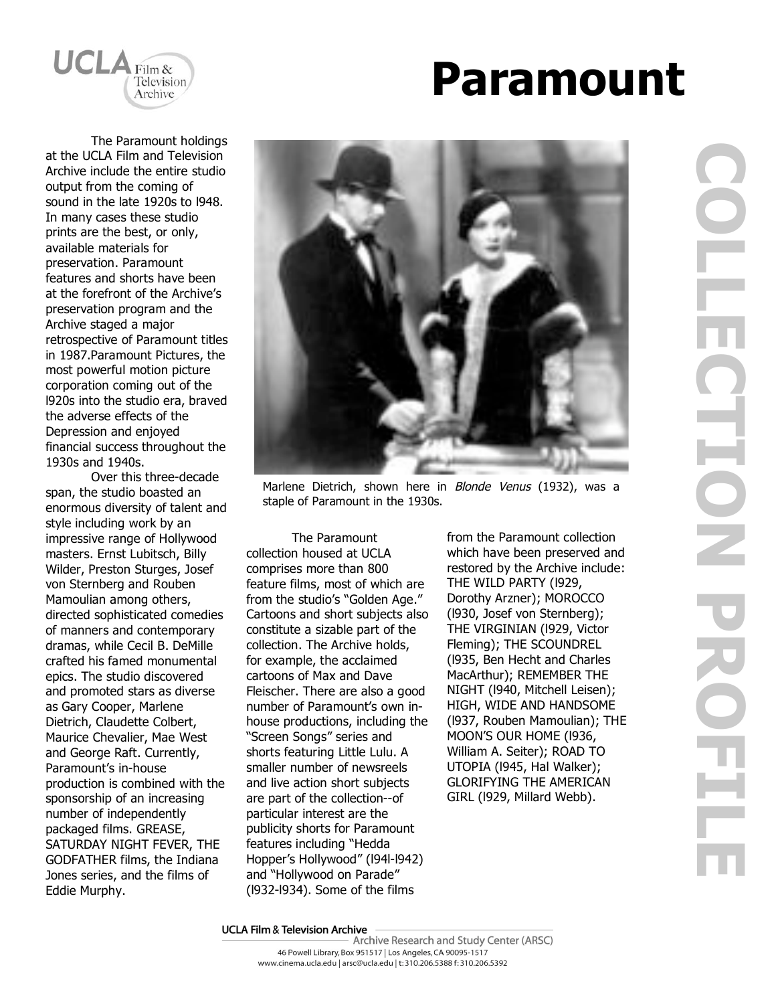

# **Paramount**

The Paramount holdings at the UCLA Film and Television Archive include the entire studio output from the coming of sound in the late 1920s to l948. In many cases these studio prints are the best, or only, available materials for preservation. Paramount features and shorts have been at the forefront of the Archive's preservation program and the Archive staged a major retrospective of Paramount titles in 1987.Paramount Pictures, the most powerful motion picture corporation coming out of the l920s into the studio era, braved the adverse effects of the Depression and enjoyed financial success throughout the 1930s and 1940s.

Over this three-decade span, the studio boasted an enormous diversity of talent and style including work by an impressive range of Hollywood masters. Ernst Lubitsch, Billy Wilder, Preston Sturges, Josef von Sternberg and Rouben Mamoulian among others, directed sophisticated comedies of manners and contemporary dramas, while Cecil B. DeMille crafted his famed monumental epics. The studio discovered and promoted stars as diverse as Gary Cooper, Marlene Dietrich, Claudette Colbert, Maurice Chevalier, Mae West and George Raft. Currently, Paramount's in-house production is combined with the sponsorship of an increasing number of independently packaged films. GREASE, SATURDAY NIGHT FEVER, THE GODFATHER films, the Indiana Jones series, and the films of Eddie Murphy.



Marlene Dietrich, shown here in Blonde Venus (1932), was a staple of Paramount in the 1930s.

The Paramount collection housed at UCLA comprises more than 800 feature films, most of which are from the studio's "Golden Age." Cartoons and short subjects also constitute a sizable part of the collection. The Archive holds, for example, the acclaimed cartoons of Max and Dave Fleischer. There are also a good number of Paramount's own inhouse productions, including the "Screen Songs" series and shorts featuring Little Lulu. A smaller number of newsreels and live action short subjects are part of the collection--of particular interest are the publicity shorts for Paramount features including "Hedda Hopper's Hollywood" (l94l-l942) and "Hollywood on Parade" (l932-l934). Some of the films

from the Paramount collection which have been preserved and restored by the Archive include: THE WILD PARTY (l929, Dorothy Arzner); MOROCCO (l930, Josef von Sternberg); THE VIRGINIAN (l929, Victor Fleming); THE SCOUNDREL (l935, Ben Hecht and Charles MacArthur); REMEMBER THE NIGHT (l940, Mitchell Leisen); HIGH, WIDE AND HANDSOME (l937, Rouben Mamoulian); THE MOON'S OUR HOME (l936, William A. Seiter); ROAD TO UTOPIA (l945, Hal Walker); GLORIFYING THE AMERICAN GIRL (l929, Millard Webb).

## **UCLA Film & Television Archive**